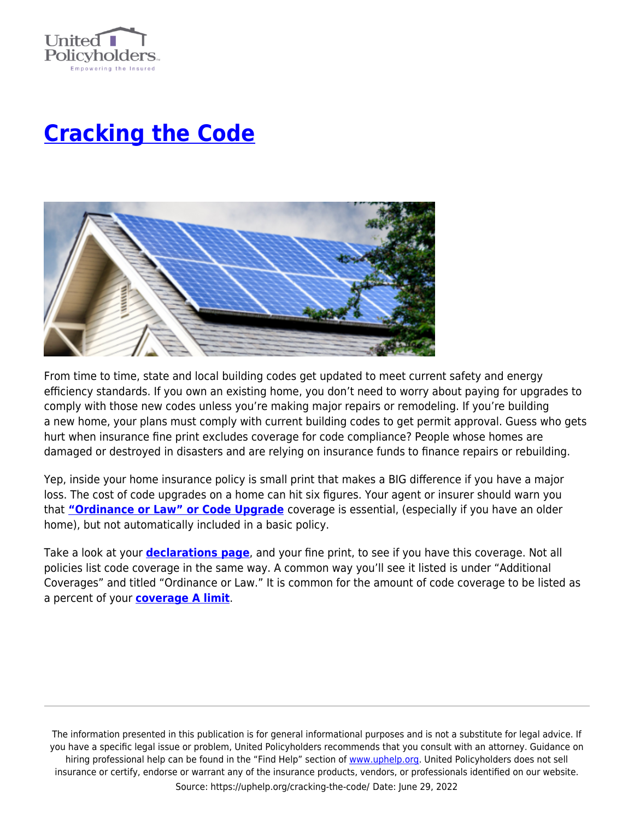

## **[Cracking the Code](https://uphelp.org/cracking-the-code/)**



From time to time, state and local building codes get updated to meet current safety and energy efficiency standards. If you own an existing home, you don't need to worry about paying for upgrades to comply with those new codes unless you're making major repairs or remodeling. If you're building a new home, your plans must comply with current building codes to get permit approval. Guess who gets hurt when insurance fine print excludes coverage for code compliance? People whose homes are damaged or destroyed in disasters and are relying on insurance funds to finance repairs or rebuilding.

Yep, inside your home insurance policy is small print that makes a BIG difference if you have a major loss. The cost of code upgrades on a home can hit six figures. Your agent or insurer should warn you that **["Ordinance or Law" or Code Upgrade](https://r20.rs6.net/tn.jsp?f=0010KWmYlYcNNvStfuuK8J6dxHj6QONDfNI2kdbMip6vFgN7wFyQEEsz9Nj1MBMFzPcujsUAeVArphwYICxlBUTS3Csu1pEoFyH_0DSzqt6EHykb1SCMKAsd29u43IgBqzsVF3N13bQTzxx7DG4Ho4qYARvLZTW1X4MEd4marrKX50GlTD-PEmYK3cejqvjtA8B2L9EzGDe6BZkYAdmfZoXwpqnAdt2wTa7DyKpE8yrAKA=&c=mM7JRKRtBq4YrQTSZYQA0bcgPI9Rhd35TDBudM8oybnfS-YV68xPfw==&ch=hcCZSVXKCv-s9GvOP4SEv6fgWG4YOdys05Z3AMEIK--v8Auj-g0KRw==)** coverage is essential, (especially if you have an older home), but not automatically included in a basic policy.

Take a look at your **[declarations page](http://www.uphelp.org/decpage)**, and your fine print, to see if you have this coverage. Not all policies list code coverage in the same way. A common way you'll see it listed is under "Additional Coverages" and titled "Ordinance or Law." It is common for the amount of code coverage to be listed as a percent of your **[coverage A limit](https://uphelp.org/buying-tips/4-ways-to-double-check-your-homeowners-insurance-coverage/)**.

The information presented in this publication is for general informational purposes and is not a substitute for legal advice. If you have a specific legal issue or problem, United Policyholders recommends that you consult with an attorney. Guidance on hiring professional help can be found in the "Find Help" section of [www.uphelp.org.](http://www.uphelp.org/) United Policyholders does not sell insurance or certify, endorse or warrant any of the insurance products, vendors, or professionals identified on our website. Source: https://uphelp.org/cracking-the-code/ Date: June 29, 2022